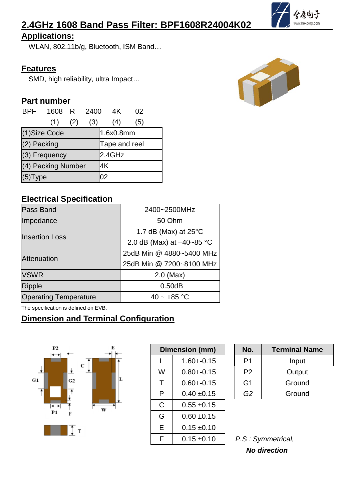# **2.4GHz 1608 Band Pass Filter: BPF1608R24004K02**

#### **Applications:**

WLAN, 802.11b/g, Bluetooth, ISM Band…

#### **Features**

SMD, high reliability, ultra Impact…

#### **Part number**

| <b>BPF</b>      | 1608 R             |     | 2400          | 4K  | 02  |  |
|-----------------|--------------------|-----|---------------|-----|-----|--|
|                 | (1)                | (2) | (3)           | (4) | (5) |  |
| (1)Size Code    |                    |     | 1.6x0.8mm     |     |     |  |
| $(2)$ Packing   |                    |     | Tape and reel |     |     |  |
| $(3)$ Frequency |                    |     | 2.4GHz        |     |     |  |
|                 | (4) Packing Number |     | 4K            |     |     |  |
| $(5)$ Type      |                    |     | 02            |     |     |  |

#### **Electrical Specification**

| Pass Band                    | 2400~2500MHz                   |  |  |  |
|------------------------------|--------------------------------|--|--|--|
| Impedance                    | 50 Ohm                         |  |  |  |
|                              | 1.7 dB (Max) at $25^{\circ}$ C |  |  |  |
| <b>Insertion Loss</b>        | 2.0 dB (Max) at $-40-85$ °C    |  |  |  |
|                              | 25dB Min @ 4880~5400 MHz       |  |  |  |
| <b>Attenuation</b>           | 25dB Min @ 7200~8100 MHz       |  |  |  |
| <b>VSWR</b>                  | $2.0$ (Max)                    |  |  |  |
| Ripple                       | 0.50dB                         |  |  |  |
| <b>Operating Temperature</b> | 40 ~ $+85$ °C                  |  |  |  |

The specification is defined on EVB.

## **Dimension and Terminal Configuration**



|              | Dimension (mm)  | No.            | <b>Termir</b>     |
|--------------|-----------------|----------------|-------------------|
| L            | $1.60 + -0.15$  | P <sub>1</sub> | Ir                |
| W            | $0.80 + 0.15$   | P <sub>2</sub> | Oι                |
| T            | $0.60 + 0.15$   | G <sub>1</sub> | Gr                |
| P            | $0.40 \pm 0.15$ | G <sub>2</sub> | Gr                |
| $\mathsf{C}$ | $0.55 \pm 0.15$ |                |                   |
| G            | $0.60 + 0.15$   |                |                   |
| E            | $0.15 \pm 0.10$ |                |                   |
| F            | $0.15 \pm 0.10$ |                | P.S: Symmetrical, |

| <b>Dimension (mm)</b> |                 |  | No.            | <b>Terminal Name</b> |
|-----------------------|-----------------|--|----------------|----------------------|
|                       | $1.60 + -0.15$  |  | P <sub>1</sub> | Input                |
| W                     | $0.80 + 0.15$   |  | P <sub>2</sub> | Output               |
|                       | $0.60 + 0.15$   |  | G <sub>1</sub> | Ground               |
| P                     | $0.40 \pm 0.15$ |  | G <sub>2</sub> | Ground               |

| P.S: Symmetrical,   |
|---------------------|
| <b>No direction</b> |



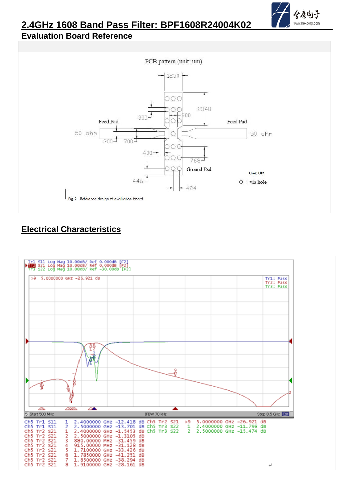

#### **2.4GHz 1608 Band Pass Filter: BPF1608R24004K02 Evaluation Board Reference**



## **Electrical Characteristics**

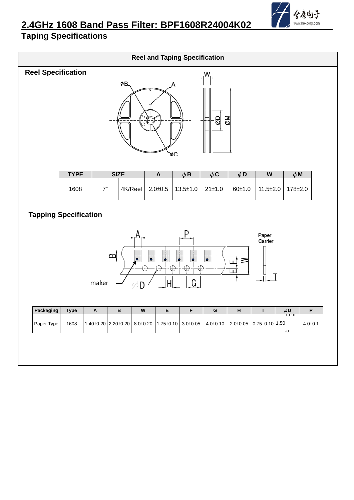

# **2.4GHz 1608 Band Pass Filter: BPF1608R24004K02**

## **Taping Specifications**

| <b>Reel and Taping Specification</b>                                                                                                                         |             |                           |              |                           |                           |                                                                         |                |          |                         |                       |               |
|--------------------------------------------------------------------------------------------------------------------------------------------------------------|-------------|---------------------------|--------------|---------------------------|---------------------------|-------------------------------------------------------------------------|----------------|----------|-------------------------|-----------------------|---------------|
| <b>Reel Specification</b><br>W.<br>ØΒ.<br><u>NØ</u><br>읭<br>ōФ                                                                                               |             |                           |              |                           |                           |                                                                         |                |          |                         |                       |               |
|                                                                                                                                                              | <b>TYPE</b> |                           | <b>SIZE</b>  |                           | $\boldsymbol{\mathsf{A}}$ | $\phi$ B                                                                | $\phi$ C       | $\phi$ D | $\overline{\mathsf{W}}$ | $\phi$ M              |               |
|                                                                                                                                                              | 1608        | 7"                        |              | 4K/Reel                   | $2.0 \pm 0.5$             | $13.5 \pm 1.0$                                                          | 21±1.0         | 60±1.0   | $11.5 \pm 2.0$          | 178±2.0               |               |
| <b>Tapping Specification</b>                                                                                                                                 |             |                           |              |                           |                           |                                                                         |                |          |                         |                       |               |
| Paper<br>Carrier<br>മ്പ്<br>$\overline{\bullet}$<br>T<br>$\overline{\bullet}$<br>$\bullet$<br>$\bullet$<br>$\bullet$<br>≊<br>ш<br>J<br>ш<br>G.<br>maker<br>Ø |             |                           |              |                           |                           |                                                                         |                |          |                         |                       |               |
| Packaging                                                                                                                                                    | <b>Type</b> | $\boldsymbol{\mathsf{A}}$ | $\, {\bf B}$ | $\boldsymbol{\mathsf{W}}$ | E                         | $\mathsf F$                                                             | G              | H        | $\mathsf T$             | $\phi{}$ D<br>$+0.10$ | P             |
| Paper Type                                                                                                                                                   | 1608        |                           |              |                           |                           | $1.40\pm0.20$ 2.20 $\pm0.20$ 8.0 $\pm0.20$ 1.75 $\pm0.10$ 3.0 $\pm0.05$ | $4.0 \pm 0.10$ |          | 2.0±0.05 0.75±0.10 1.50 | $-0$                  | $4.0 \pm 0.1$ |
|                                                                                                                                                              |             |                           |              |                           |                           |                                                                         |                |          |                         |                       |               |